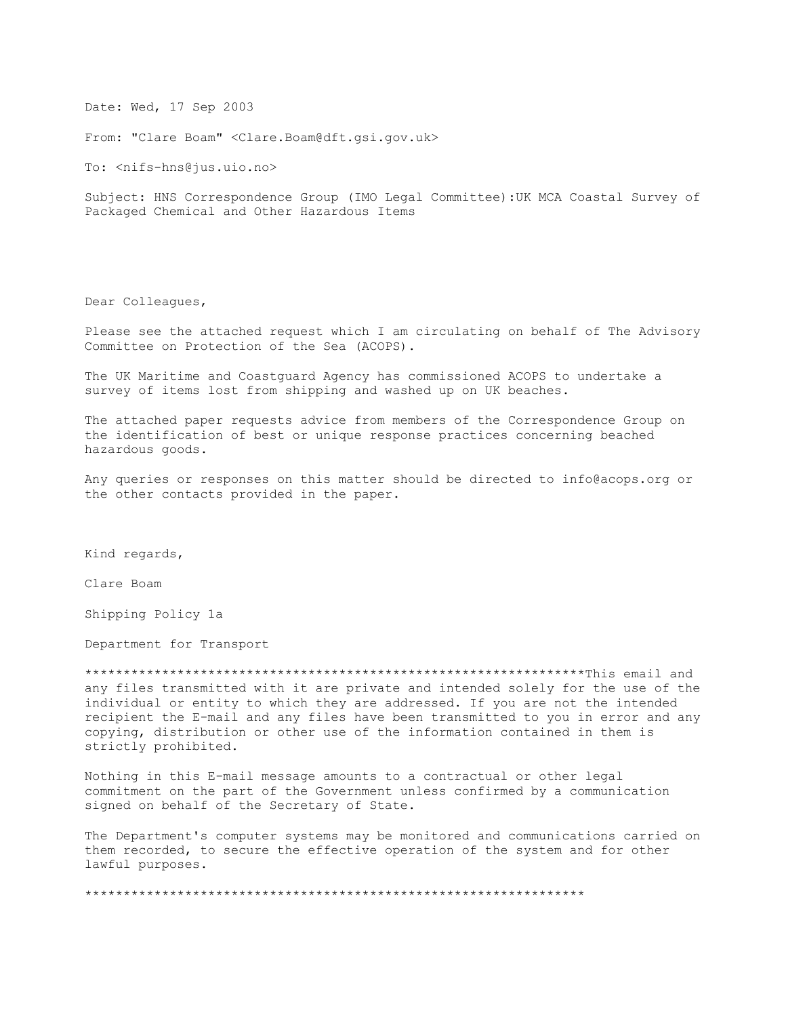Date: Wed, 17 Sep 2003

From: "Clare Boam" <Clare.Boam@dft.gsi.gov.uk>

To: <nifs-hns@jus.uio.no>

Subject: HNS Correspondence Group (IMO Legal Committee): UK MCA Coastal Survey of Packaged Chemical and Other Hazardous Items

Dear Colleagues,

Please see the attached request which I am circulating on behalf of The Advisory Committee on Protection of the Sea (ACOPS).

The UK Maritime and Coastquard Agency has commissioned ACOPS to undertake a survey of items lost from shipping and washed up on UK beaches.

The attached paper requests advice from members of the Correspondence Group on the identification of best or unique response practices concerning beached hazardous goods.

Any queries or responses on this matter should be directed to info@acops.org or the other contacts provided in the paper.

Kind regards,

Clare Boam

Shipping Policy 1a

Department for Transport

any files transmitted with it are private and intended solely for the use of the individual or entity to which they are addressed. If you are not the intended recipient the E-mail and any files have been transmitted to you in error and any copying, distribution or other use of the information contained in them is strictly prohibited.

Nothing in this E-mail message amounts to a contractual or other legal commitment on the part of the Government unless confirmed by a communication signed on behalf of the Secretary of State.

The Department's computer systems may be monitored and communications carried on them recorded, to secure the effective operation of the system and for other lawful purposes.